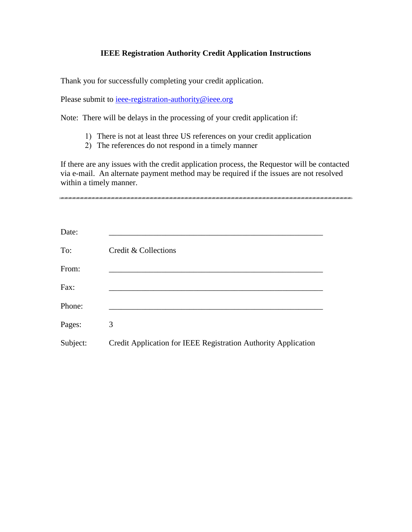## **IEEE Registration Authority Credit Application Instructions**

Thank you for successfully completing your credit application.

Please submit to <u>ieee-registration-authority@ieee.org</u>

Note: There will be delays in the processing of your credit application if:

- 1) There is not at least three US references on your credit application
- 2) The references do not respond in a timely manner

If there are any issues with the credit application process, the Requestor will be contacted via e-mail. An alternate payment method may be required if the issues are not resolved within a timely manner.

| Date:    |                                                                |
|----------|----------------------------------------------------------------|
| To:      | Credit & Collections                                           |
| From:    |                                                                |
| Fax:     |                                                                |
| Phone:   |                                                                |
| Pages:   | 3                                                              |
| Subject: | Credit Application for IEEE Registration Authority Application |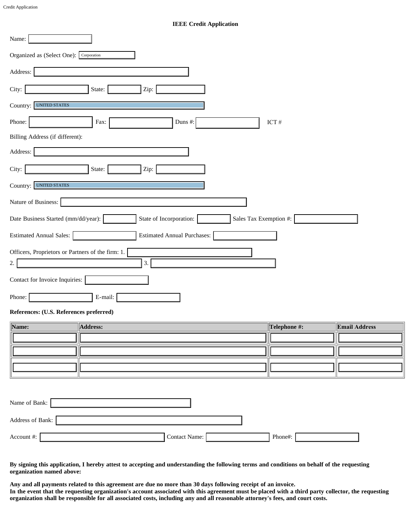## **IEEE Credit Application**

| Name:                                                                                    |
|------------------------------------------------------------------------------------------|
| Organized as (Select One): Corporation                                                   |
| Address:                                                                                 |
| City:<br>State:<br>Zip:                                                                  |
| <b>UNITED STATES</b><br>Country:                                                         |
| Phone:<br>Fax:<br>Duns #:<br>ICT $\#$                                                    |
| Billing Address (if different):                                                          |
| Address:                                                                                 |
| City:<br>State:<br>Zip:                                                                  |
| <b>UNITED STATES</b><br>Country:                                                         |
| Nature of Business:                                                                      |
| Sales Tax Exemption #:<br>Date Business Started (mm/dd/year):<br>State of Incorporation: |
| <b>Estimated Annual Sales:</b><br><b>Estimated Annual Purchases:</b>                     |
| Officers, Proprietors or Partners of the firm: 1.                                        |
| 3.<br>2.                                                                                 |
| Contact for Invoice Inquiries:                                                           |
| Phone:<br>E-mail:                                                                        |

## **References: (U.S. References preferred)**

| Name: | Address: | $\ $ Telephone #: | <b>Email Address</b> |
|-------|----------|-------------------|----------------------|
|       |          |                   |                      |
|       |          |                   |                      |
|       |          |                   |                      |

| Name of Bank:    |               |         |
|------------------|---------------|---------|
| Address of Bank: |               |         |
| Account #:       | Contact Name: | Phone#: |

**By signing this application, I hereby attest to accepting and understanding the following terms and conditions on behalf of the requesting organization named above:**

**Any and all payments related to this agreement are due no more than 30 days following receipt of an invoice. In the event that the requesting organization's account associated with this agreement must be placed with a third party collector, the requesting organization shall be responsible for all associated costs, including any and all reasonable attorney's fees, and court costs.**